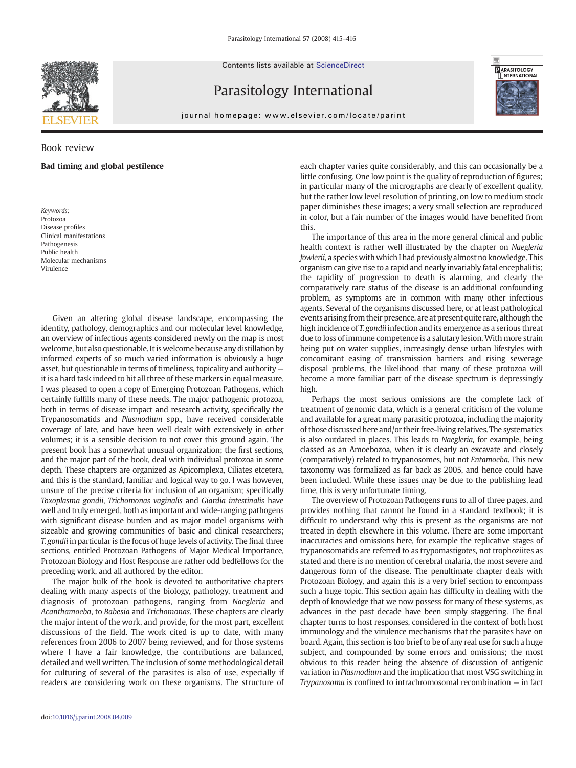Contents lists available at ScienceDirect



Parasitology International



journal homepage: www.elsevier.com/locate/parint

## Book review

## Bad timing and global pestilence

Keywords: Protozoa Disease profiles Clinical manifestations Pathogenesis Public health Molecular mechanisms Virulence

Given an altering global disease landscape, encompassing the identity, pathology, demographics and our molecular level knowledge, an overview of infectious agents considered newly on the map is most welcome, but also questionable. It is welcome because any distillation by informed experts of so much varied information is obviously a huge asset, but questionable in terms of timeliness, topicality and authority it is a hard task indeed to hit all three of these markers in equal measure. I was pleased to open a copy of Emerging Protozoan Pathogens, which certainly fulfills many of these needs. The major pathogenic protozoa, both in terms of disease impact and research activity, specifically the Trypanosomatids and Plasmodium spp., have received considerable coverage of late, and have been well dealt with extensively in other volumes; it is a sensible decision to not cover this ground again. The present book has a somewhat unusual organization; the first sections, and the major part of the book, deal with individual protozoa in some depth. These chapters are organized as Apicomplexa, Ciliates etcetera, and this is the standard, familiar and logical way to go. I was however, unsure of the precise criteria for inclusion of an organism; specifically Toxoplasma gondii, Trichomonas vaginalis and Giardia intestinalis have well and truly emerged, both as important and wide-ranging pathogens with significant disease burden and as major model organisms with sizeable and growing communities of basic and clinical researchers; T. gondii in particular is the focus of huge levels of activity. The final three sections, entitled Protozoan Pathogens of Major Medical Importance, Protozoan Biology and Host Response are rather odd bedfellows for the preceding work, and all authored by the editor.

The major bulk of the book is devoted to authoritative chapters dealing with many aspects of the biology, pathology, treatment and diagnosis of protozoan pathogens, ranging from Naegleria and Acanthamoeba, to Babesia and Trichomonas. These chapters are clearly the major intent of the work, and provide, for the most part, excellent discussions of the field. The work cited is up to date, with many references from 2006 to 2007 being reviewed, and for those systems where I have a fair knowledge, the contributions are balanced, detailed and well written. The inclusion of some methodological detail for culturing of several of the parasites is also of use, especially if readers are considering work on these organisms. The structure of each chapter varies quite considerably, and this can occasionally be a little confusing. One low point is the quality of reproduction of figures; in particular many of the micrographs are clearly of excellent quality, but the rather low level resolution of printing, on low to medium stock paper diminishes these images; a very small selection are reproduced in color, but a fair number of the images would have benefited from this.

The importance of this area in the more general clinical and public health context is rather well illustrated by the chapter on Naegleria fowlerii, a species with which I had previously almost no knowledge. This organism can give rise to a rapid and nearly invariably fatal encephalitis; the rapidity of progression to death is alarming, and clearly the comparatively rare status of the disease is an additional confounding problem, as symptoms are in common with many other infectious agents. Several of the organisms discussed here, or at least pathological events arising from their presence, are at present quite rare, although the high incidence of T. gondii infection and its emergence as a serious threat due to loss of immune competence is a salutary lesion. With more strain being put on water supplies, increasingly dense urban lifestyles with concomitant easing of transmission barriers and rising sewerage disposal problems, the likelihood that many of these protozoa will become a more familiar part of the disease spectrum is depressingly high.

Perhaps the most serious omissions are the complete lack of treatment of genomic data, which is a general criticism of the volume and available for a great many parasitic protozoa, including the majority of those discussed here and/or their free-living relatives. The systematics is also outdated in places. This leads to Naegleria, for example, being classed as an Amoebozoa, when it is clearly an excavate and closely (comparatively) related to trypanosomes, but not Entamoeba. This new taxonomy was formalized as far back as 2005, and hence could have been included. While these issues may be due to the publishing lead time, this is very unfortunate timing.

The overview of Protozoan Pathogens runs to all of three pages, and provides nothing that cannot be found in a standard textbook; it is difficult to understand why this is present as the organisms are not treated in depth elsewhere in this volume. There are some important inaccuracies and omissions here, for example the replicative stages of trypanosomatids are referred to as trypomastigotes, not trophoziites as stated and there is no mention of cerebral malaria, the most severe and dangerous form of the disease. The penultimate chapter deals with Protozoan Biology, and again this is a very brief section to encompass such a huge topic. This section again has difficulty in dealing with the depth of knowledge that we now possess for many of these systems, as advances in the past decade have been simply staggering. The final chapter turns to host responses, considered in the context of both host immunology and the virulence mechanisms that the parasites have on board. Again, this section is too brief to be of any real use for such a huge subject, and compounded by some errors and omissions; the most obvious to this reader being the absence of discussion of antigenic variation in Plasmodium and the implication that most VSG switching in Trypanosoma is confined to intrachromosomal recombination — in fact